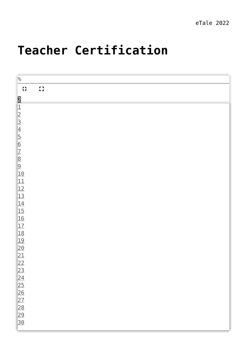B.

## **[Teacher Certification](https://dev.taleafrica.com/teacher-certification/)**

| $\%$                                                                                             |                                                        |  |  |  |   |
|--------------------------------------------------------------------------------------------------|--------------------------------------------------------|--|--|--|---|
| 非                                                                                                | $\begin{smallmatrix} 0 & 1 \\ 1 & 1 \end{smallmatrix}$ |  |  |  |   |
|                                                                                                  |                                                        |  |  |  |   |
|                                                                                                  |                                                        |  |  |  | 叫 |
|                                                                                                  |                                                        |  |  |  |   |
|                                                                                                  |                                                        |  |  |  |   |
|                                                                                                  |                                                        |  |  |  |   |
|                                                                                                  |                                                        |  |  |  |   |
|                                                                                                  |                                                        |  |  |  |   |
|                                                                                                  |                                                        |  |  |  |   |
|                                                                                                  |                                                        |  |  |  |   |
| 212345678910                                                                                     |                                                        |  |  |  |   |
|                                                                                                  |                                                        |  |  |  |   |
|                                                                                                  |                                                        |  |  |  |   |
| $\begin{array}{r} 11 \\ 12 \\ 13 \\ \underline{14} \\ 15 \\ \underline{16} \\ 17 \\ \end{array}$ |                                                        |  |  |  |   |
|                                                                                                  |                                                        |  |  |  |   |
|                                                                                                  |                                                        |  |  |  |   |
|                                                                                                  |                                                        |  |  |  |   |
|                                                                                                  |                                                        |  |  |  |   |
| <u>18</u>                                                                                        |                                                        |  |  |  |   |
| <u>19</u>                                                                                        |                                                        |  |  |  |   |
| $\frac{20}{21}$<br>$\frac{22}{23}$                                                               |                                                        |  |  |  |   |
|                                                                                                  |                                                        |  |  |  |   |
|                                                                                                  |                                                        |  |  |  |   |
|                                                                                                  |                                                        |  |  |  |   |
|                                                                                                  |                                                        |  |  |  |   |
|                                                                                                  |                                                        |  |  |  |   |
| $\frac{24}{25}$ $\frac{25}{26}$ $\frac{27}{28}$                                                  |                                                        |  |  |  |   |
|                                                                                                  |                                                        |  |  |  |   |
| 29<br>30                                                                                         |                                                        |  |  |  |   |
|                                                                                                  |                                                        |  |  |  |   |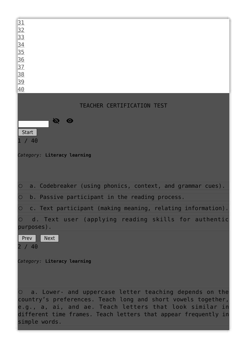

simple words.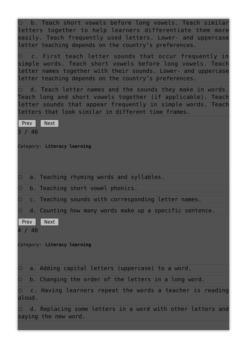|                        | O b. Teach short vowels before long vowels. Teach similar<br>letters together to help learners differentiate them more<br>easily. Teach frequently used letters. Lower- and uppercase<br>letter teaching depends on the country's preferences.  |
|------------------------|-------------------------------------------------------------------------------------------------------------------------------------------------------------------------------------------------------------------------------------------------|
|                        | O c. First teach letter sounds that occur frequently in<br>simple words. Teach short vowels before long vowels. Teach<br>letter names together with their sounds. Lower- and uppercase<br>letter teaching depends on the country's preferences. |
|                        | O d. Teach letter names and the sounds they make in words.<br>Teach long and short vowels together (if applicable). Teach<br>letter sounds that appear frequently in simple words. Teach<br>letters that look similar in different time frames. |
| $ $ Prev $ $<br>3 / 40 | Next                                                                                                                                                                                                                                            |
|                        | Category: Literacy learning                                                                                                                                                                                                                     |
| $\circ$                | a. Teaching rhyming words and syllables.                                                                                                                                                                                                        |
| $\overline{O}$         | b. Teaching short vowel phonics.                                                                                                                                                                                                                |
| $\overline{\bigcirc}$  | c. Teaching sounds with corresponding letter names.                                                                                                                                                                                             |
|                        | $\circ$ d. Counting how many words make up a specific sentence.                                                                                                                                                                                 |
| Prev<br>4 / 40         | <b>Next</b>                                                                                                                                                                                                                                     |
|                        | Category: Literacy learning                                                                                                                                                                                                                     |
| $\circ$                | a. Adding capital letters (uppercase) to a word.                                                                                                                                                                                                |
| $\circ$                | b. Changing the order of the letters in a long word.                                                                                                                                                                                            |
| $\circ$<br>aloud.      | c. Having learners repeat the words a teacher is reading                                                                                                                                                                                        |
|                        | $\circ$ d. Replacing some letters in a word with other letters and<br>saying the new word.                                                                                                                                                      |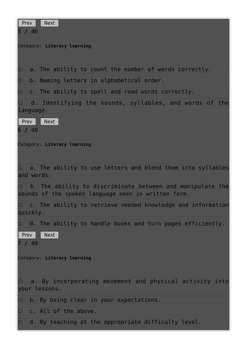| Prev<br><b>Next</b><br>5 / 40                                                                                               |
|-----------------------------------------------------------------------------------------------------------------------------|
| Category: Literacy learning                                                                                                 |
| a. The ability to count the number of words correctly.<br>$\circ$                                                           |
| b. Naming letters in alphabetical order.<br>$\circ$                                                                         |
| c. The ability to spell and read words correctly.<br>$\circ$                                                                |
| d. Identifying the sounds, syllables, and words of the<br>language.                                                         |
| Next<br>  Prev<br>6 / 40                                                                                                    |
| Category: Literacy learning                                                                                                 |
| a. The ability to use letters and blend them into syllables<br>$\circ$<br>and words.                                        |
| b. The ability to discriminate between and manipulate the<br>$\circ$<br>sounds of the spoken language seen in written form. |
| $\circ$ c. The ability to retrieve needed knowledge and information<br>quickly.                                             |
| $\circ$ d. The ability to handle books and turn pages efficiently.<br>Prev<br>Next                                          |
| 7 / 40                                                                                                                      |
| Category: Literacy learning                                                                                                 |
| $\circ$ a. By incorporating movement and physical activity into<br>your lessons.                                            |
| b. By being clear in your expectations.                                                                                     |
| c. All of the above.<br>$\circ$                                                                                             |
| d. By teaching at the appropriate difficulty level.<br>$\bigcirc$                                                           |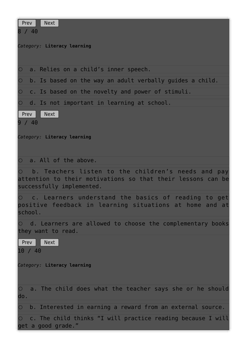| Prev<br><b>Next</b><br>8 / 40                                                                                                                  |
|------------------------------------------------------------------------------------------------------------------------------------------------|
| Category: Literacy learning                                                                                                                    |
| a. Relies on a child's inner speech.<br>$\circ$                                                                                                |
| b. Is based on the way an adult verbally guides a child.<br>$\circ$                                                                            |
| c. Is based on the novelty and power of stimuli.<br>$\circ$                                                                                    |
| $\circ$ d. Is not important in learning at school.                                                                                             |
| l Prev<br><b>Next</b><br>9 / 40                                                                                                                |
| Category: Literacy learning                                                                                                                    |
| $\circ$ a. All of the above.                                                                                                                   |
| b. Teachers listen to the children's needs and pay<br>attention to their motivations so that their lessons can be<br>successfully implemented. |
| c. Learners understand the basics of reading to get<br>$\circ$<br>positive feedback in learning situations at home and at<br>school.           |
| ○ d. Learners are allowed to choose the complementary books<br>they want to read.                                                              |
| <b>Next</b><br>l Prev<br>10 / 40                                                                                                               |
| Category: Literacy learning                                                                                                                    |
| a. The child does what the teacher says she or he should<br>$\circ$<br>do.                                                                     |
| b. Interested in earning a reward from an external source.<br>$\circ$                                                                          |
| c. The child thinks "I will practice reading because I will<br>$\circ$<br>get a good grade."                                                   |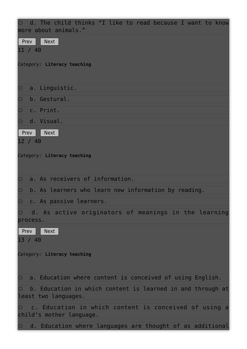|                 | $\circ$ d. The child thinks "I like to read because I want to know<br>more about animals." |  |
|-----------------|--------------------------------------------------------------------------------------------|--|
| Prev<br>11 / 40 | <b>Next</b>                                                                                |  |
|                 | Category: Literacy teaching                                                                |  |
| $\bigcirc$      | a. Linguistic.                                                                             |  |
| $\bigcirc$      | b. Gestural.                                                                               |  |
| $\bigcirc$      | c. Print.                                                                                  |  |
| $\bigcirc$      | d. Visual.                                                                                 |  |
| Prev<br>12 / 40 | Next                                                                                       |  |
|                 | Category: Literacy teaching                                                                |  |
| $\bigcirc$      | a. As receivers of information.                                                            |  |
| $\bigcirc$      | b. As learners who learn new information by reading.                                       |  |
| $\bigcirc$      | c. As passive learners.                                                                    |  |
| process.        | $\circ$ d. As active originators of meanings in the learning                               |  |
| Prev<br>13 / 40 | <b>Next</b>                                                                                |  |
|                 | Category: Literacy teaching                                                                |  |
| $\bigcirc$      | a. Education where content is conceived of using English.                                  |  |
| $\bigcirc$      | b. Education in which content is learned in and through at<br>least two languages.         |  |
|                 | O c. Education in which content is conceived of using a<br>child's mother language.        |  |
| $\circ$         | d. Education where languages are thought of as additional                                  |  |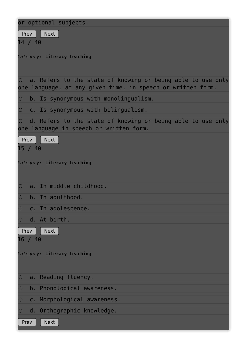| or optional subjects.<br>Next<br><b>Prev</b><br>14 / 40<br>Category: Literacy teaching                                             |
|------------------------------------------------------------------------------------------------------------------------------------|
| $\circ$ a. Refers to the state of knowing or being able to use only<br>one language, at any given time, in speech or written form. |
| $\circ$ b. Is synonymous with monolingualism.                                                                                      |
| c. Is synonymous with bilingualism.<br>$\circ$                                                                                     |
| O d. Refers to the state of knowing or being able to use only<br>one language in speech or written form.                           |
| Next<br>l Prev<br>15 / 40                                                                                                          |
| Category: Literacy teaching                                                                                                        |
| a. In middle childhood.<br>$\circ$                                                                                                 |
| b. In adulthood.<br>$\circ$                                                                                                        |
| c. In adolescence.<br>$\circ$                                                                                                      |
| d. At birth.<br>$\bigcirc$                                                                                                         |
| <b>Next</b><br>Prev<br>16 / 40                                                                                                     |
| Category: Literacy teaching                                                                                                        |
| a. Reading fluency.<br>$\circ$                                                                                                     |
| b. Phonological awareness.<br>$\bigcirc$                                                                                           |
| c. Morphological awareness.<br>$\bigcirc$                                                                                          |
| d. Orthographic knowledge.<br>$\bigcirc$                                                                                           |
| <b>Next</b><br>Prev                                                                                                                |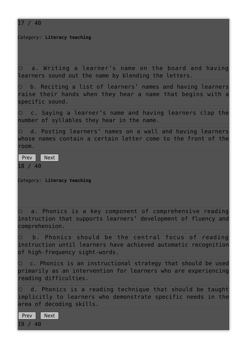17 / 40

*Category:* **Literacy teaching**

 $\circ$  a. Writing a learner's name on the board and having learners sound out the name by blending the letters.

 $\circ$  b. Reciting a list of learners' names and having learners raise their hands when they hear a name that begins with a specific sound.

 $\circ$  c. Saying a learner's name and having learners clap the number of syllables they hear in the name.

 $\circ$  d. Posting learners' names on a wall and having learners whose names contain a certain letter come to the front of the room.

Prev Next 18 / 40

*Category:* **Literacy teaching**

 $\circ$  a. Phonics is a key component of comprehensive reading instruction that supports learners' development of fluency and comprehension.

 $\circ$  b. Phonics should be the central focus of reading instruction until learners have achieved automatic recognition of high-frequency sight-words.

 $\circ$  c. Phonics is an instructional strategy that should be used primarily as an intervention for learners who are experiencing reading difficulties.

 $\circ$  d. Phonics is a reading technique that should be taught implicitly to learners who demonstrate specific needs in the area of decoding skills.

Prev Next 19 / 40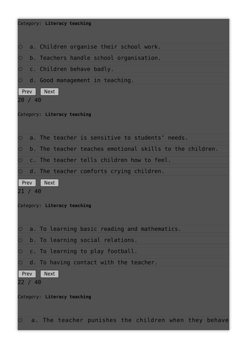| Category: Literacy teaching                                         |
|---------------------------------------------------------------------|
| a. Children organise their school work.<br>$\circ$                  |
| b. Teachers handle school organisation.<br>$\circ$                  |
| c. Children behave badly.<br>$\circ$                                |
| d. Good management in teaching.<br>$\circ$                          |
| <b>Next</b><br>Prev                                                 |
| 20 / 40                                                             |
| Category: Literacy teaching                                         |
|                                                                     |
| a. The teacher is sensitive to students' needs.<br>$\circ$          |
| b. The teacher teaches emotional skills to the children.<br>$\circ$ |
| c. The teacher tells children how to feel.<br>$\bigcirc$            |
| d. The teacher comforts crying children.<br>$\bigcirc$              |
| Prev<br><b>Next</b>                                                 |
| 21 / 40                                                             |
| Category: Literacy teaching                                         |
|                                                                     |
| a. To learning basic reading and mathematics.<br>$\circ$            |
| b. To learning social relations.<br>$\circ$                         |
| c. To learning to play football.<br>$\circ$                         |
| d. To having contact with the teacher.                              |
| <b>Next</b><br>Prev                                                 |
| 22 / 40                                                             |
| Category: Literacy teaching                                         |
|                                                                     |
|                                                                     |
| a. The teacher punishes the children when they behave<br>$\bigcirc$ |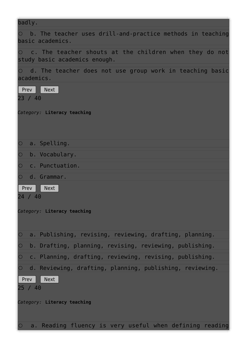| badly.                                                                                                |
|-------------------------------------------------------------------------------------------------------|
| $\circ$ b. The teacher uses drill-and-practice methods in teaching<br>basic academics.                |
| $\circ$ c. The teacher shouts at the children when they do not<br>study basic academics enough.       |
| $\circ$ d. The teacher does not use group work in teaching basic<br>academics.                        |
| Prev<br><b>Next</b><br>23 / 40                                                                        |
| Category: Literacy teaching                                                                           |
| $\bigcirc$<br>a. Spelling.                                                                            |
| $\bigcirc$<br>b. Vocabulary.                                                                          |
| $\bigcirc$<br>c. Punctuation.                                                                         |
| $\bigcirc$<br>d. Grammar.<br>  Prev<br><b>Next</b><br>24 / 40<br>Category: Literacy teaching          |
| a. Publishing, revising, reviewing, drafting, planning.<br>$\bigcirc$                                 |
| $\circ$<br>b. Drafting, planning, revising, reviewing, publishing.                                    |
| $\bigcirc$<br>c. Planning, drafting, reviewing, revising, publishing.                                 |
| $\circ$<br>d. Reviewing, drafting, planning, publishing, reviewing.<br>Prev<br><b>Next</b><br>25 / 40 |
| Category: Literacy teaching                                                                           |
| $\circ$ a. Reading fluency is very useful when defining reading                                       |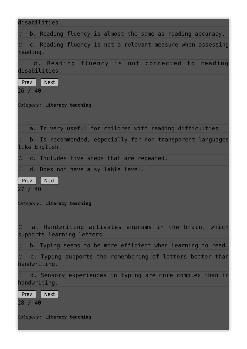| disabilities.                                                                                                 |
|---------------------------------------------------------------------------------------------------------------|
| $\circ$ b. Reading fluency is almost the same as reading accuracy.                                            |
| $\circ$<br>c. Reading fluency is not a relevant measure when assessing<br>reading.                            |
| O d. Reading fluency is not connected to reading<br>disabilities.                                             |
| l Prev<br><b>Next</b><br>26 / 40                                                                              |
| Category: Literacy teaching                                                                                   |
| $\circ$ a. Is very useful for children with reading difficulties.                                             |
| $\circ$<br>b. Is recommended, especially for non-transparent languages<br>like English.                       |
| $\circ$<br>c. Includes five steps that are repeated.                                                          |
| $\circ$ d. Does not have a syllable level.<br>  Prev<br><b>Next</b><br>27 / 40<br>Category: Literacy teaching |
| $\circ$ a. Handwriting activates engrams in the brain, which<br>supports learning letters.                    |
| $\bigcirc$<br>b. Typing seems to be more efficient when learning to read.                                     |
| $\circ$<br>c. Typing supports the remembering of letters better than<br>handwriting.                          |
| $\circ$ d. Sensory experiences in typing are more complex than in<br>handwriting.                             |
| Prev<br><b>Next</b><br>28 / 40                                                                                |
| Category: Literacy teaching                                                                                   |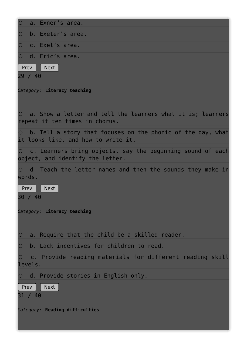|                       | O a. Exner's area.                                                                                         |
|-----------------------|------------------------------------------------------------------------------------------------------------|
| $\bigcirc$            | b. Exeter's area.                                                                                          |
| $\overline{O}$        | c. Exel's area.                                                                                            |
|                       | O d. Eric's area.                                                                                          |
| $ $ Prev $ $          | $\blacksquare$ Next                                                                                        |
| 29 / 40               |                                                                                                            |
|                       | Category: Literacy teaching                                                                                |
|                       | $\circ$ a. Show a letter and tell the learners what it is; learners<br>repeat it ten times in chorus.      |
|                       | $\circ$ b. Tell a story that focuses on the phonic of the day, what<br>it looks like, and how to write it. |
|                       | $\circ$ c. Learners bring objects, say the beginning sound of each<br>object, and identify the letter.     |
| words.                | $\circ$ d. Teach the letter names and then the sounds they make in                                         |
| Prev<br>30 / 40       | Next                                                                                                       |
|                       | Category: Literacy teaching                                                                                |
| $\bigcirc$            | a. Require that the child be a skilled reader.                                                             |
| $\bigcirc$            | b. Lack incentives for children to read.                                                                   |
| $\bigcirc$<br>levels. | c. Provide reading materials for different reading skill                                                   |
|                       | $\circ$ d. Provide stories in English only.                                                                |
| Prev<br>31 / 40       | <b>Next</b>                                                                                                |
|                       | Category: Reading difficulties                                                                             |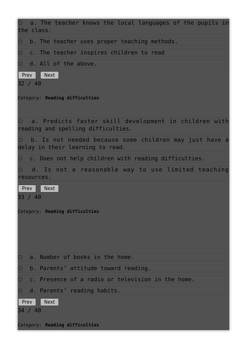| $\circ$ a. The teacher knows the local languages of the pupils in<br>the class.               |
|-----------------------------------------------------------------------------------------------|
| $\circ$ b. The teacher uses proper teaching methods.                                          |
| $\circ$ c. The teacher inspires children to read                                              |
| $\circ$ d. All of the above.                                                                  |
| Prev<br><b>Next</b><br>32 / 40                                                                |
| Category: Reading difficulties                                                                |
| O a. Predicts faster skill development in children with<br>reading and spelling difficulties. |
| O b. Is not needed because some children may just have a<br>delay in their learning to read.  |
| $\circ$ c. Does not help children with reading difficulties.                                  |
| O d. Is not a reasonable way to use limited teaching<br>resources.                            |
| Prev<br><b>Next</b><br>33 / 40                                                                |
| Category: Reading difficulties                                                                |
| a. Number of books in the home.<br>$\bigcirc$                                                 |
| b. Parents' attitude toward reading.<br>$\bigcirc$                                            |
| c. Presence of a radio or television in the home.<br>$\bigcirc$                               |
| $\circ$ d. Parents' reading habits.                                                           |
| Prev<br><b>Next</b><br>34 / 40                                                                |
| Category: Reading difficulties                                                                |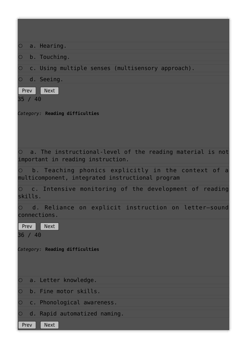| $\bigcirc$<br>a. Hearing.                                                                                      |
|----------------------------------------------------------------------------------------------------------------|
| $\bigcirc$<br>b. Touching.                                                                                     |
| c. Using multiple senses (multisensory approach).<br>$\bigcirc$                                                |
| O d. Seeing.                                                                                                   |
| Prev  <br>Next<br>35 / 40                                                                                      |
| Category: Reading difficulties                                                                                 |
| $\circ$ a. The instructional-level of the reading material is not<br>important in reading instruction.         |
| $\circ$ b. Teaching phonics explicitly in the context of a<br>multicomponent, integrated instructional program |
| $\circ$ c. Intensive monitoring of the development of reading<br>skills.                                       |
| d. Reliance on explicit instruction on letter-sound<br>$\bigcirc$<br>connections.                              |
| <b>Next</b><br>Prev<br>36 / 40                                                                                 |
| Category: Reading difficulties                                                                                 |
| a. Letter knowledge.<br>$\circ$                                                                                |
| b. Fine motor skills.<br>$\bigcirc$                                                                            |
| c. Phonological awareness.<br>$\bigcirc$                                                                       |
| d. Rapid automatized naming.<br>$\circ$<br><b>Next</b><br>Prev                                                 |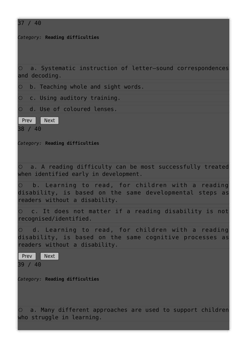| 37 / 40                                                                                                                                              |
|------------------------------------------------------------------------------------------------------------------------------------------------------|
| Category: Reading difficulties                                                                                                                       |
| O a. Systematic instruction of letter-sound correspondences<br>and decoding.                                                                         |
| $\bigcirc$<br>b. Teaching whole and sight words.                                                                                                     |
| $\circ$ c. Using auditory training.                                                                                                                  |
| O d. Use of coloured lenses.                                                                                                                         |
| $ $ Prev $ $<br>Next<br>38 / 40                                                                                                                      |
| Category: Reading difficulties                                                                                                                       |
| O a. A reading difficulty can be most successfully treated<br>when identified early in development.                                                  |
| $\circ$ b. Learning to read, for children with a reading<br>disability, is based on the same developmental steps as<br>readers without a disability. |
| O c. It does not matter if a reading disability is not<br>recognised/identified.                                                                     |
| O d. Learning to read, for children with a reading<br>disability, is based on the same cognitive processes as<br>readers without a disability.       |
| Prev Next<br>39 / 40                                                                                                                                 |
| Category: Reading difficulties                                                                                                                       |
| O a. Many different approaches are used to support children<br>who struggle in learning.                                                             |